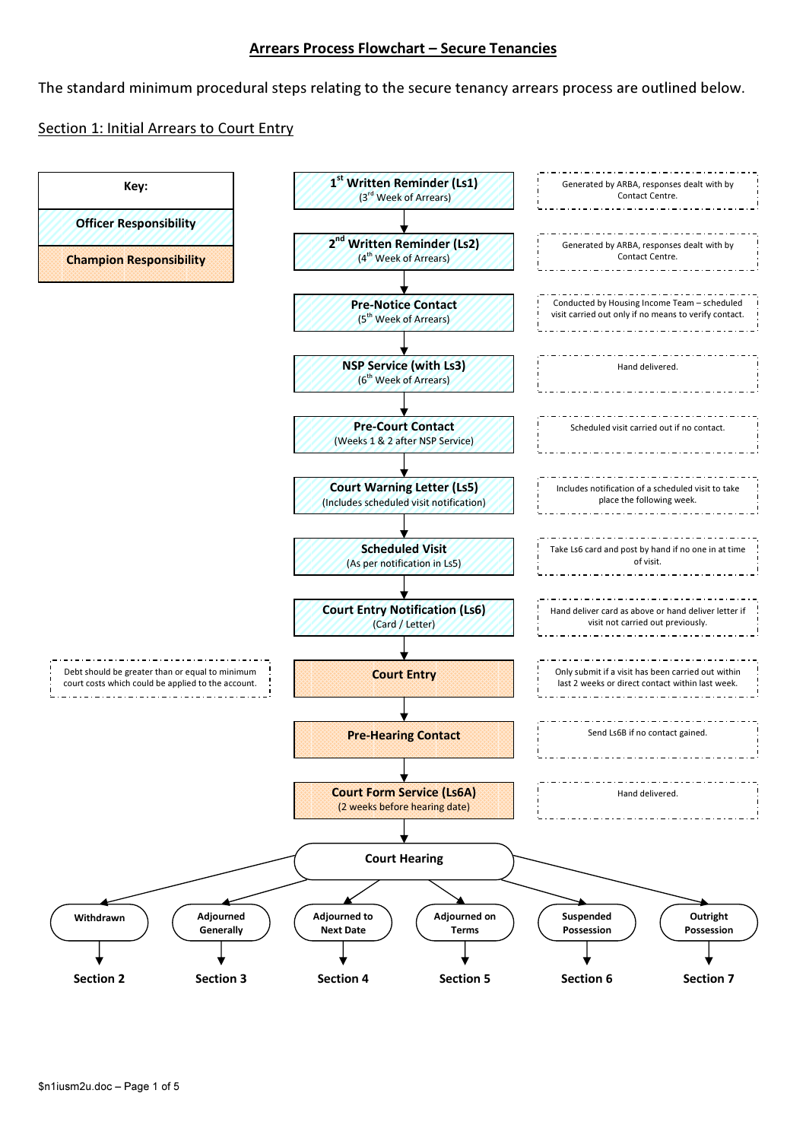#### Arrears Process Flowchart – Secure Tenancies

The standard minimum procedural steps relating to the secure tenancy arrears process are outlined below.

# Section 1: Initial Arrears to Court Entry

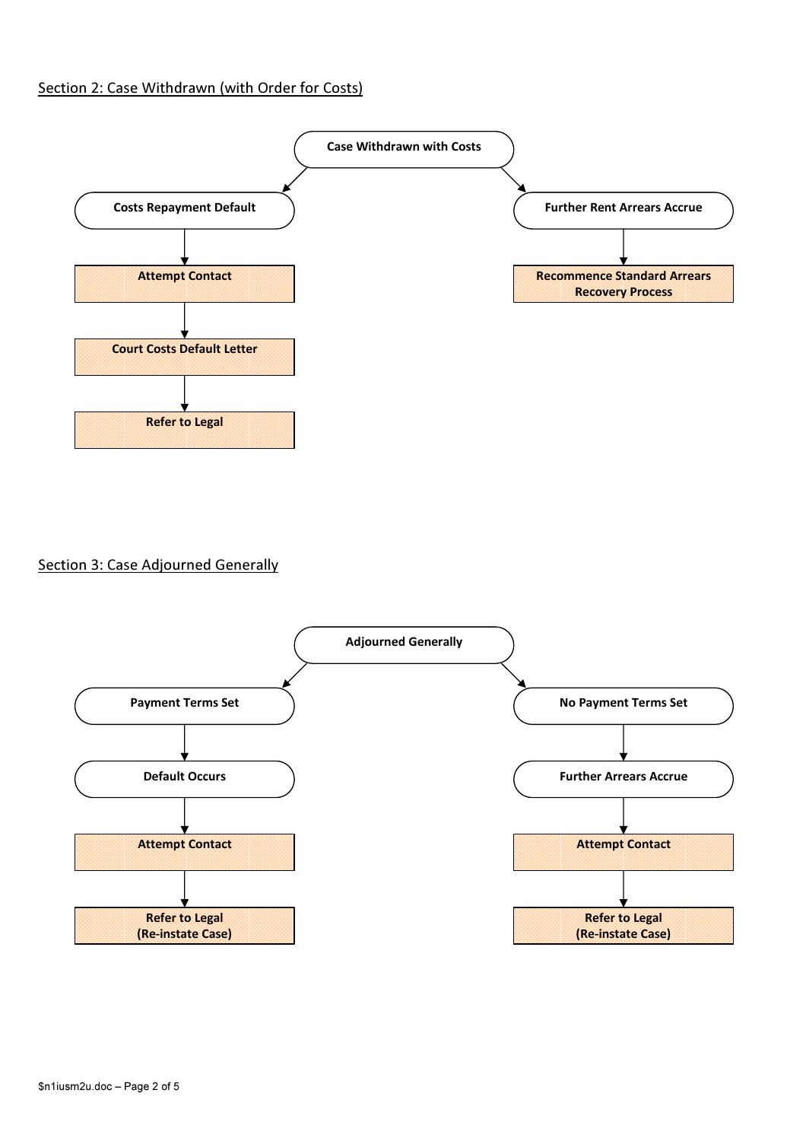## Section 2: Case Withdrawn (with Order for Costs)



Section 3: Case Adjourned Generally

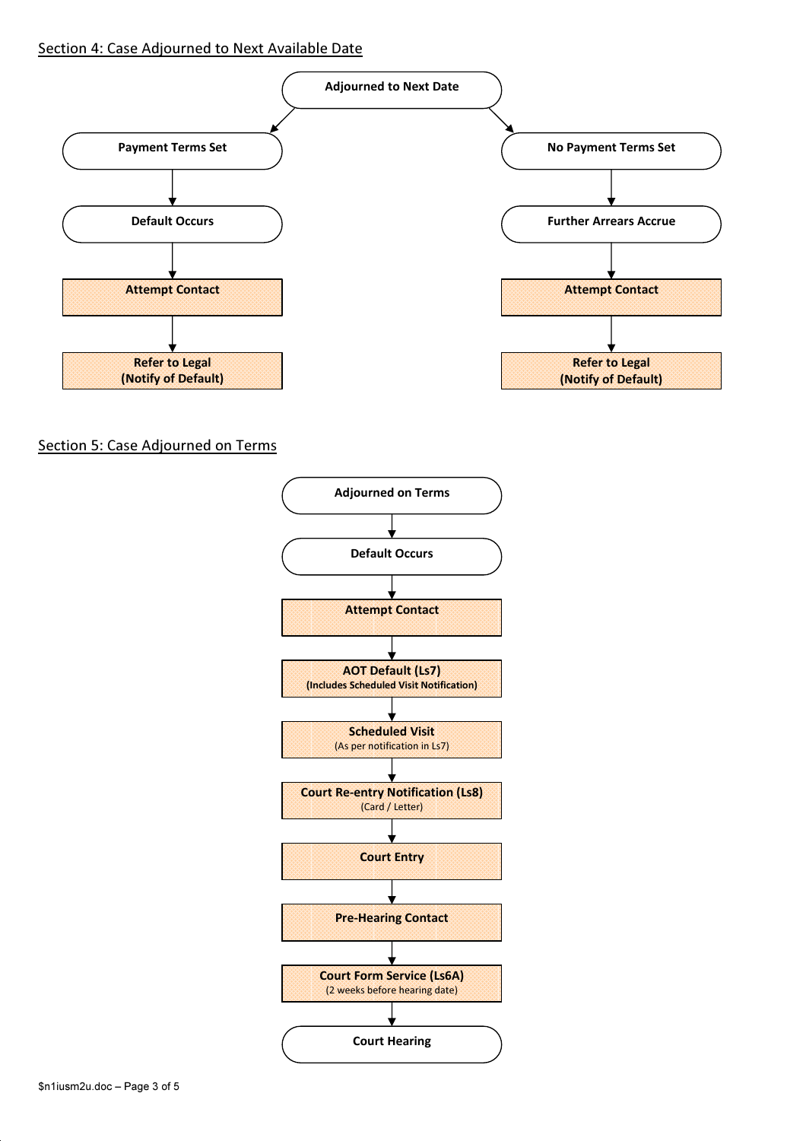### Section 4: Case Adjourned to Next Available Date



Section 5: Case Adjourned on Terms

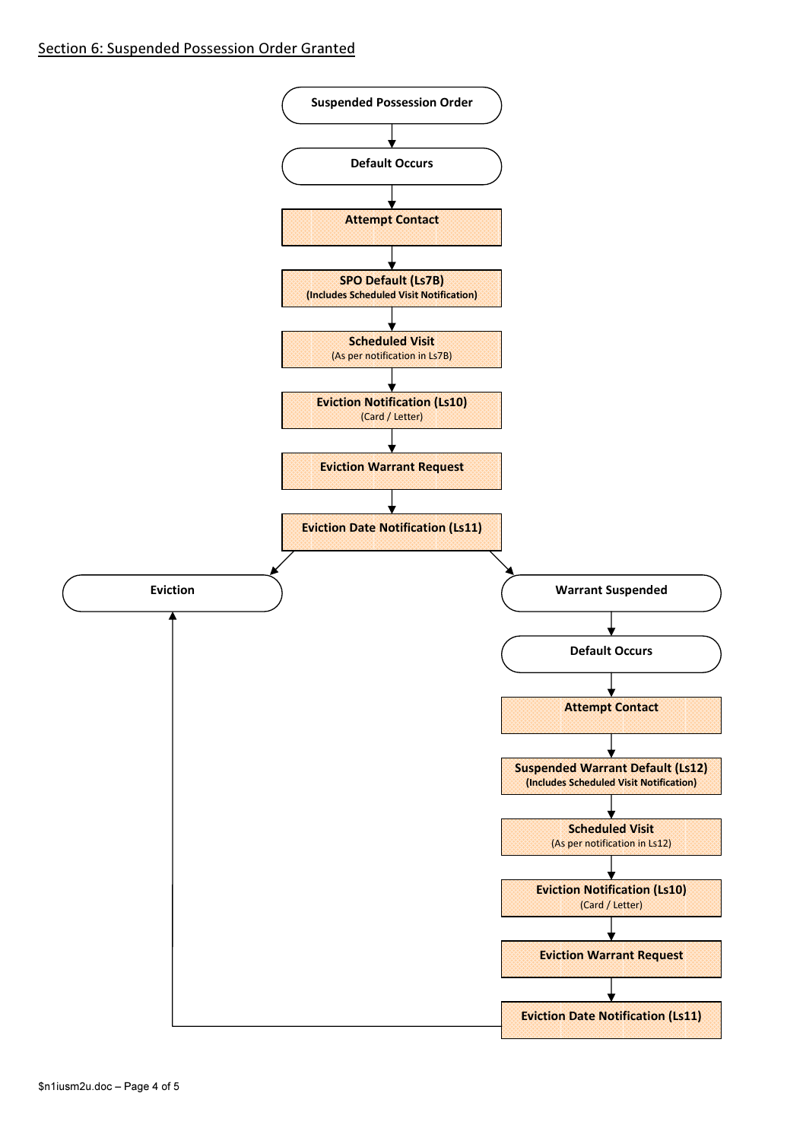### Section 6: Suspended Possession Order Granted